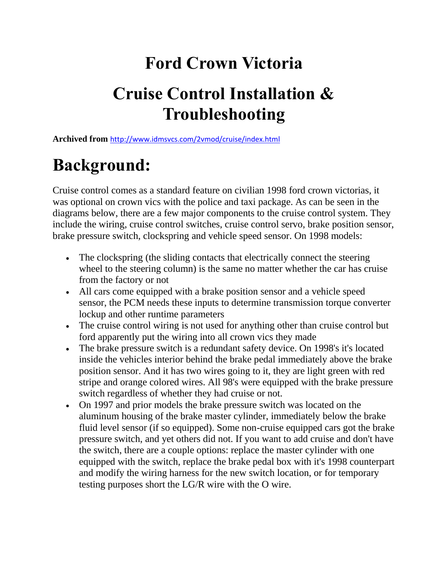# **Ford Crown Victoria**

## **Cruise Control Installation & Troubleshooting**

**Archived from** <http://www.idmsvcs.com/2vmod/cruise/index.html>

# **Background:**

Cruise control comes as a standard feature on civilian 1998 ford crown victorias, it was optional on crown vics with the police and taxi package. As can be seen in the diagrams below, there are a few major components to the cruise control system. They include the wiring, cruise control switches, cruise control servo, brake position sensor, brake pressure switch, clockspring and vehicle speed sensor. On 1998 models:

- The clockspring (the sliding contacts that electrically connect the steering wheel to the steering column) is the same no matter whether the car has cruise from the factory or not
- All cars come equipped with a brake position sensor and a vehicle speed sensor, the PCM needs these inputs to determine transmission torque converter lockup and other runtime parameters
- The cruise control wiring is not used for anything other than cruise control but ford apparently put the wiring into all crown vics they made
- The brake pressure switch is a redundant safety device. On 1998's it's located inside the vehicles interior behind the brake pedal immediately above the brake position sensor. And it has two wires going to it, they are light green with red stripe and orange colored wires. All 98's were equipped with the brake pressure switch regardless of whether they had cruise or not.
- On 1997 and prior models the brake pressure switch was located on the aluminum housing of the brake master cylinder, immediately below the brake fluid level sensor (if so equipped). Some non-cruise equipped cars got the brake pressure switch, and yet others did not. If you want to add cruise and don't have the switch, there are a couple options: replace the master cylinder with one equipped with the switch, replace the brake pedal box with it's 1998 counterpart and modify the wiring harness for the new switch location, or for temporary testing purposes short the LG/R wire with the O wire.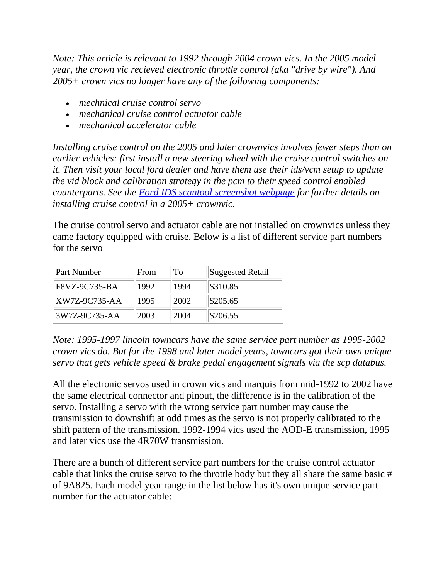*Note: This article is relevant to 1992 through 2004 crown vics. In the 2005 model year, the crown vic recieved electronic throttle control (aka "drive by wire"). And 2005+ crown vics no longer have any of the following components:*

- *mechnical cruise control servo*
- *mechanical cruise control actuator cable*
- *mechanical accelerator cable*

*Installing cruise control on the 2005 and later crownvics involves fewer steps than on earlier vehicles: first install a new steering wheel with the cruise control switches on it. Then visit your local ford dealer and have them use their ids/vcm setup to update the vid block and calibration strategy in the pcm to their speed control enabled counterparts. See the [Ford IDS scantool screenshot webpage](http://www.idmsvcs.com/2vmod/fordids/screenshots/index.html) for further details on installing cruise control in a 2005+ crownvic.*

The cruise control servo and actuator cable are not installed on crownvics unless they came factory equipped with cruise. Below is a list of different service part numbers for the servo

| Part Number          | From | To   | <b>Suggested Retail</b> |
|----------------------|------|------|-------------------------|
| <b>F8VZ-9C735-BA</b> | 1992 | 1994 | \$310.85                |
| XW7Z-9C735-AA        | 1995 | 2002 | \$205.65                |
| 3W7Z-9C735-AA        | 2003 | 2004 | \$206.55                |

*Note: 1995-1997 lincoln towncars have the same service part number as 1995-2002 crown vics do. But for the 1998 and later model years, towncars got their own unique servo that gets vehicle speed & brake pedal engagement signals via the scp databus.*

All the electronic servos used in crown vics and marquis from mid-1992 to 2002 have the same electrical connector and pinout, the difference is in the calibration of the servo. Installing a servo with the wrong service part number may cause the transmission to downshift at odd times as the servo is not properly calibrated to the shift pattern of the transmission. 1992-1994 vics used the AOD-E transmission, 1995 and later vics use the 4R70W transmission.

There are a bunch of different service part numbers for the cruise control actuator cable that links the cruise servo to the throttle body but they all share the same basic # of 9A825. Each model year range in the list below has it's own unique service part number for the actuator cable: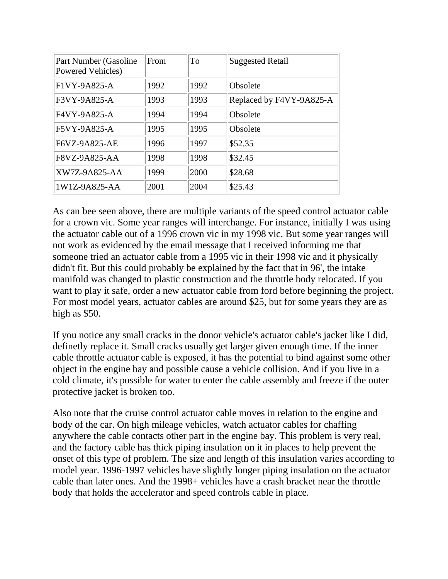| Part Number (Gasoline<br>Powered Vehicles) | From | To   | <b>Suggested Retail</b>  |
|--------------------------------------------|------|------|--------------------------|
| F1VY-9A825-A                               | 1992 | 1992 | Obsolete                 |
| F3VY-9A825-A                               | 1993 | 1993 | Replaced by F4VY-9A825-A |
| F4VY-9A825-A                               | 1994 | 1994 | Obsolete                 |
| F5VY-9A825-A                               | 1995 | 1995 | Obsolete                 |
| F6VZ-9A825-AE                              | 1996 | 1997 | \$52.35                  |
| F8VZ-9A825-AA                              | 1998 | 1998 | \$32.45                  |
| XW7Z-9A825-AA                              | 1999 | 2000 | \$28.68                  |
| 1W1Z-9A825-AA                              | 2001 | 2004 | \$25.43                  |

As can bee seen above, there are multiple variants of the speed control actuator cable for a crown vic. Some year ranges will interchange. For instance, initially I was using the actuator cable out of a 1996 crown vic in my 1998 vic. But some year ranges will not work as evidenced by the email message that I received informing me that someone tried an actuator cable from a 1995 vic in their 1998 vic and it physically didn't fit. But this could probably be explained by the fact that in 96', the intake manifold was changed to plastic construction and the throttle body relocated. If you want to play it safe, order a new actuator cable from ford before beginning the project. For most model years, actuator cables are around \$25, but for some years they are as high as \$50.

If you notice any small cracks in the donor vehicle's actuator cable's jacket like I did, definetly replace it. Small cracks usually get larger given enough time. If the inner cable throttle actuator cable is exposed, it has the potential to bind against some other object in the engine bay and possible cause a vehicle collision. And if you live in a cold climate, it's possible for water to enter the cable assembly and freeze if the outer protective jacket is broken too.

Also note that the cruise control actuator cable moves in relation to the engine and body of the car. On high mileage vehicles, watch actuator cables for chaffing anywhere the cable contacts other part in the engine bay. This problem is very real, and the factory cable has thick piping insulation on it in places to help prevent the onset of this type of problem. The size and length of this insulation varies according to model year. 1996-1997 vehicles have slightly longer piping insulation on the actuator cable than later ones. And the 1998+ vehicles have a crash bracket near the throttle body that holds the accelerator and speed controls cable in place.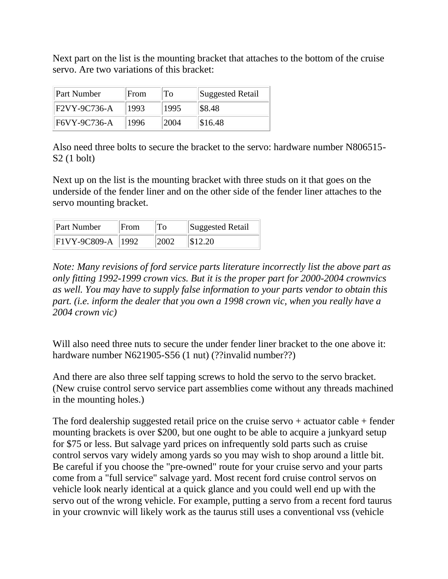Next part on the list is the mounting bracket that attaches to the bottom of the cruise servo. Are two variations of this bracket:

| Part Number         | From | To   | Suggested Retail |
|---------------------|------|------|------------------|
| <b>F2VY-9C736-A</b> | 1993 | 1995 | \$8.48           |
| F6VY-9C736-A        | 1996 | 2004 | \$16.48          |

Also need three bolts to secure the bracket to the servo: hardware number N806515- S2 (1 bolt)

Next up on the list is the mounting bracket with three studs on it that goes on the underside of the fender liner and on the other side of the fender liner attaches to the servo mounting bracket.

| Part Number        | From |      | Suggested Retail |
|--------------------|------|------|------------------|
| F1VY-9C809-A  1992 |      | 2002 |                  |

*Note: Many revisions of ford service parts literature incorrectly list the above part as only fitting 1992-1999 crown vics. But it is the proper part for 2000-2004 crownvics as well. You may have to supply false information to your parts vendor to obtain this part. (i.e. inform the dealer that you own a 1998 crown vic, when you really have a 2004 crown vic)*

Will also need three nuts to secure the under fender liner bracket to the one above it: hardware number N621905-S56 (1 nut) (??invalid number??)

And there are also three self tapping screws to hold the servo to the servo bracket. (New cruise control servo service part assemblies come without any threads machined in the mounting holes.)

The ford dealership suggested retail price on the cruise servo  $+$  actuator cable  $+$  fender mounting brackets is over \$200, but one ought to be able to acquire a junkyard setup for \$75 or less. But salvage yard prices on infrequently sold parts such as cruise control servos vary widely among yards so you may wish to shop around a little bit. Be careful if you choose the "pre-owned" route for your cruise servo and your parts come from a "full service" salvage yard. Most recent ford cruise control servos on vehicle look nearly identical at a quick glance and you could well end up with the servo out of the wrong vehicle. For example, putting a servo from a recent ford taurus in your crownvic will likely work as the taurus still uses a conventional vss (vehicle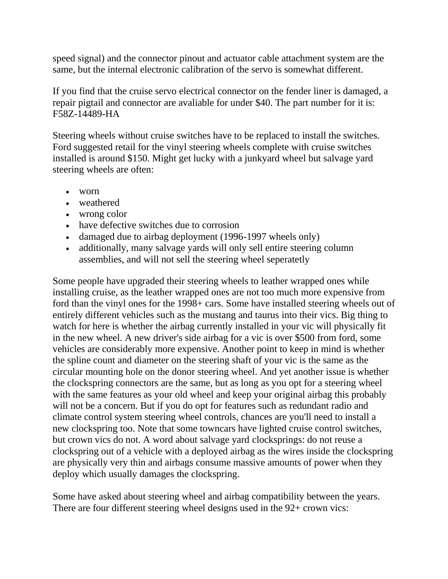speed signal) and the connector pinout and actuator cable attachment system are the same, but the internal electronic calibration of the servo is somewhat different.

If you find that the cruise servo electrical connector on the fender liner is damaged, a repair pigtail and connector are avaliable for under \$40. The part number for it is: F58Z-14489-HA

Steering wheels without cruise switches have to be replaced to install the switches. Ford suggested retail for the vinyl steering wheels complete with cruise switches installed is around \$150. Might get lucky with a junkyard wheel but salvage yard steering wheels are often:

- worn
- weathered
- wrong color
- have defective switches due to corrosion
- damaged due to airbag deployment (1996-1997 wheels only)
- additionally, many salvage yards will only sell entire steering column assemblies, and will not sell the steering wheel seperatetly

Some people have upgraded their steering wheels to leather wrapped ones while installing cruise, as the leather wrapped ones are not too much more expensive from ford than the vinyl ones for the 1998+ cars. Some have installed steering wheels out of entirely different vehicles such as the mustang and taurus into their vics. Big thing to watch for here is whether the airbag currently installed in your vic will physically fit in the new wheel. A new driver's side airbag for a vic is over \$500 from ford, some vehicles are considerably more expensive. Another point to keep in mind is whether the spline count and diameter on the steering shaft of your vic is the same as the circular mounting hole on the donor steering wheel. And yet another issue is whether the clockspring connectors are the same, but as long as you opt for a steering wheel with the same features as your old wheel and keep your original airbag this probably will not be a concern. But if you do opt for features such as redundant radio and climate control system steering wheel controls, chances are you'll need to install a new clockspring too. Note that some towncars have lighted cruise control switches, but crown vics do not. A word about salvage yard clocksprings: do not reuse a clockspring out of a vehicle with a deployed airbag as the wires inside the clockspring are physically very thin and airbags consume massive amounts of power when they deploy which usually damages the clockspring.

Some have asked about steering wheel and airbag compatibility between the years. There are four different steering wheel designs used in the 92+ crown vics: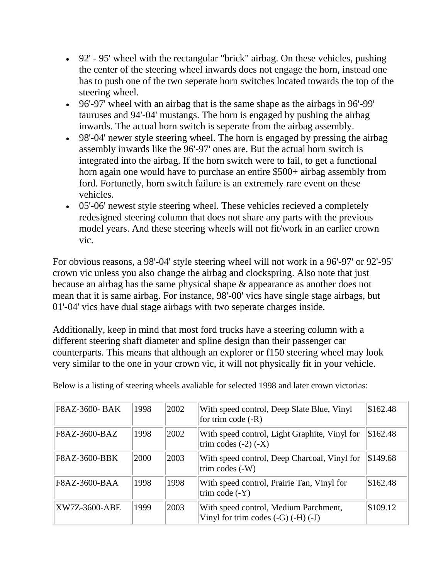- 92' 95' wheel with the rectangular "brick" airbag. On these vehicles, pushing the center of the steering wheel inwards does not engage the horn, instead one has to push one of the two seperate horn switches located towards the top of the steering wheel.
- 96'-97' wheel with an airbag that is the same shape as the airbags in 96'-99' tauruses and 94'-04' mustangs. The horn is engaged by pushing the airbag inwards. The actual horn switch is seperate from the airbag assembly.
- 98'-04' newer style steering wheel. The horn is engaged by pressing the airbag assembly inwards like the 96'-97' ones are. But the actual horn switch is integrated into the airbag. If the horn switch were to fail, to get a functional horn again one would have to purchase an entire \$500+ airbag assembly from ford. Fortunetly, horn switch failure is an extremely rare event on these vehicles.
- 05'-06' newest style steering wheel. These vehicles recieved a completely redesigned steering column that does not share any parts with the previous model years. And these steering wheels will not fit/work in an earlier crown vic.

For obvious reasons, a 98'-04' style steering wheel will not work in a 96'-97' or 92'-95' crown vic unless you also change the airbag and clockspring. Also note that just because an airbag has the same physical shape & appearance as another does not mean that it is same airbag. For instance, 98'-00' vics have single stage airbags, but 01'-04' vics have dual stage airbags with two seperate charges inside.

Additionally, keep in mind that most ford trucks have a steering column with a different steering shaft diameter and spline design than their passenger car counterparts. This means that although an explorer or f150 steering wheel may look very similar to the one in your crown vic, it will not physically fit in your vehicle.

| F8AZ-3600- BAK | 1998 | 2002 | With speed control, Deep Slate Blue, Vinyl<br>for trim code $(-R)$                 | \$162.48 |
|----------------|------|------|------------------------------------------------------------------------------------|----------|
| F8AZ-3600-BAZ  | 1998 | 2002 | With speed control, Light Graphite, Vinyl for<br>trim codes $(-2)$ $(-X)$          | \$162.48 |
| F8AZ-3600-BBK  | 2000 | 2003 | With speed control, Deep Charcoal, Vinyl for<br>trim codes $(-W)$                  | \$149.68 |
| F8AZ-3600-BAA  | 1998 | 1998 | With speed control, Prairie Tan, Vinyl for<br>trim code $(-Y)$                     | \$162.48 |
| XW7Z-3600-ABE  | 1999 | 2003 | With speed control, Medium Parchment,<br>Vinyl for trim codes $(-G)$ $(-H)$ $(-J)$ | \$109.12 |

Below is a listing of steering wheels avaliable for selected 1998 and later crown victorias: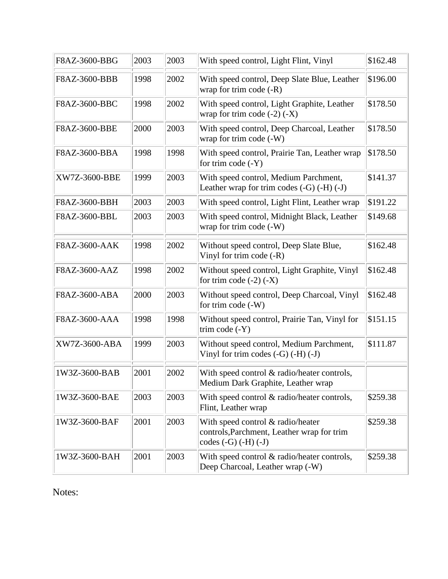| F8AZ-3600-BBG | 2003 | 2003 | With speed control, Light Flint, Vinyl                                                                  | \$162.48 |
|---------------|------|------|---------------------------------------------------------------------------------------------------------|----------|
| F8AZ-3600-BBB | 1998 | 2002 | With speed control, Deep Slate Blue, Leather<br>wrap for trim code $(-R)$                               | \$196.00 |
| F8AZ-3600-BBC | 1998 | 2002 | With speed control, Light Graphite, Leather<br>wrap for trim code $(-2)$ $(-X)$                         | \$178.50 |
| F8AZ-3600-BBE | 2000 | 2003 | With speed control, Deep Charcoal, Leather<br>wrap for trim code (-W)                                   | \$178.50 |
| F8AZ-3600-BBA | 1998 | 1998 | With speed control, Prairie Tan, Leather wrap<br>for trim code $(-Y)$                                   | \$178.50 |
| XW7Z-3600-BBE | 1999 | 2003 | With speed control, Medium Parchment,<br>Leather wrap for trim codes $(-G)$ $(-H)$ $(-J)$               | \$141.37 |
| F8AZ-3600-BBH | 2003 | 2003 | With speed control, Light Flint, Leather wrap                                                           | \$191.22 |
| F8AZ-3600-BBL | 2003 | 2003 | With speed control, Midnight Black, Leather<br>wrap for trim code (-W)                                  | \$149.68 |
| F8AZ-3600-AAK | 1998 | 2002 | Without speed control, Deep Slate Blue,<br>Vinyl for trim code (-R)                                     | \$162.48 |
| F8AZ-3600-AAZ | 1998 | 2002 | Without speed control, Light Graphite, Vinyl<br>for trim code $(-2)$ $(-X)$                             | \$162.48 |
| F8AZ-3600-ABA | 2000 | 2003 | Without speed control, Deep Charcoal, Vinyl<br>for trim code (-W)                                       | \$162.48 |
| F8AZ-3600-AAA | 1998 | 1998 | Without speed control, Prairie Tan, Vinyl for<br>trim code $(-Y)$                                       | \$151.15 |
| XW7Z-3600-ABA | 1999 | 2003 | Without speed control, Medium Parchment,<br>Vinyl for trim codes $(-G)$ $(-H)$ $(-J)$                   | \$111.87 |
| 1W3Z-3600-BAB | 2001 | 2002 | With speed control & radio/heater controls,<br>Medium Dark Graphite, Leather wrap                       |          |
| 1W3Z-3600-BAE | 2003 | 2003 | With speed control & radio/heater controls,<br>Flint, Leather wrap                                      | \$259.38 |
| 1W3Z-3600-BAF | 2001 | 2003 | With speed control & radio/heater<br>controls, Parchment, Leather wrap for trim<br>codes (-G) (-H) (-J) | \$259.38 |
| 1W3Z-3600-BAH | 2001 | 2003 | With speed control & radio/heater controls,<br>Deep Charcoal, Leather wrap (-W)                         | \$259.38 |

Notes: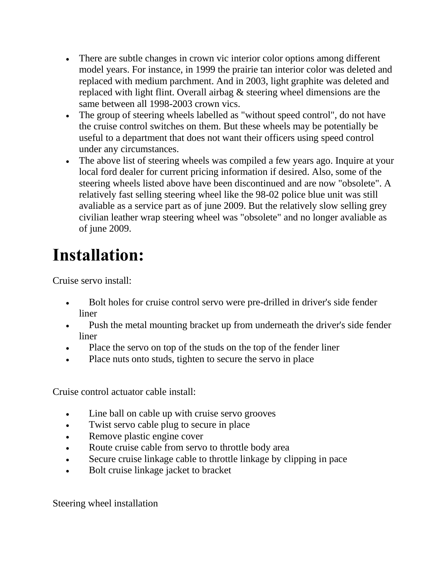- There are subtle changes in crown vic interior color options among different model years. For instance, in 1999 the prairie tan interior color was deleted and replaced with medium parchment. And in 2003, light graphite was deleted and replaced with light flint. Overall airbag & steering wheel dimensions are the same between all 1998-2003 crown vics.
- The group of steering wheels labelled as "without speed control", do not have the cruise control switches on them. But these wheels may be potentially be useful to a department that does not want their officers using speed control under any circumstances.
- The above list of steering wheels was compiled a few years ago. Inquire at your local ford dealer for current pricing information if desired. Also, some of the steering wheels listed above have been discontinued and are now "obsolete". A relatively fast selling steering wheel like the 98-02 police blue unit was still avaliable as a service part as of june 2009. But the relatively slow selling grey civilian leather wrap steering wheel was "obsolete" and no longer avaliable as of june 2009.

### **Installation:**

Cruise servo install:

- Bolt holes for cruise control servo were pre-drilled in driver's side fender liner
- Push the metal mounting bracket up from underneath the driver's side fender liner
- Place the servo on top of the studs on the top of the fender liner
- Place nuts onto studs, tighten to secure the servo in place

Cruise control actuator cable install:

- Line ball on cable up with cruise servo grooves
- Twist servo cable plug to secure in place
- Remove plastic engine cover
- Route cruise cable from servo to throttle body area
- Secure cruise linkage cable to throttle linkage by clipping in pace
- Bolt cruise linkage jacket to bracket

Steering wheel installation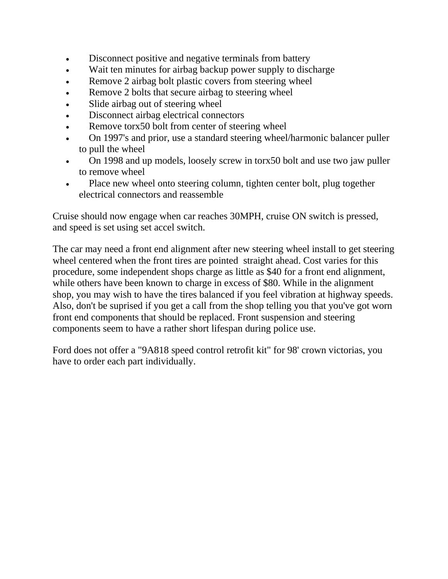- Disconnect positive and negative terminals from battery
- Wait ten minutes for airbag backup power supply to discharge
- Remove 2 airbag bolt plastic covers from steering wheel
- Remove 2 bolts that secure airbag to steering wheel
- Slide airbag out of steering wheel
- Disconnect airbag electrical connectors
- Remove torx50 bolt from center of steering wheel
- On 1997's and prior, use a standard steering wheel/harmonic balancer puller to pull the wheel
- On 1998 and up models, loosely screw in torx50 bolt and use two jaw puller to remove wheel
- Place new wheel onto steering column, tighten center bolt, plug together electrical connectors and reassemble

Cruise should now engage when car reaches 30MPH, cruise ON switch is pressed, and speed is set using set accel switch.

The car may need a front end alignment after new steering wheel install to get steering wheel centered when the front tires are pointed straight ahead. Cost varies for this procedure, some independent shops charge as little as \$40 for a front end alignment, while others have been known to charge in excess of \$80. While in the alignment shop, you may wish to have the tires balanced if you feel vibration at highway speeds. Also, don't be suprised if you get a call from the shop telling you that you've got worn front end components that should be replaced. Front suspension and steering components seem to have a rather short lifespan during police use.

Ford does not offer a "9A818 speed control retrofit kit" for 98' crown victorias, you have to order each part individually.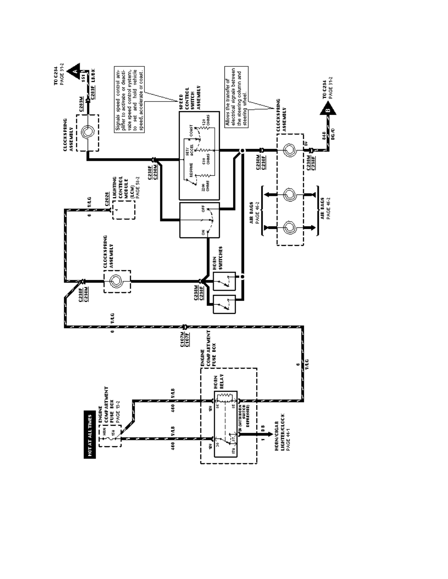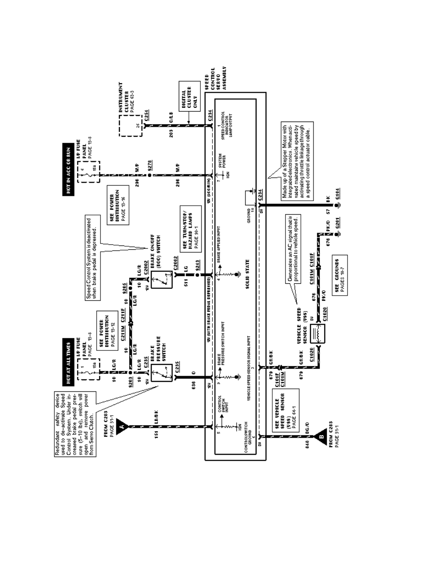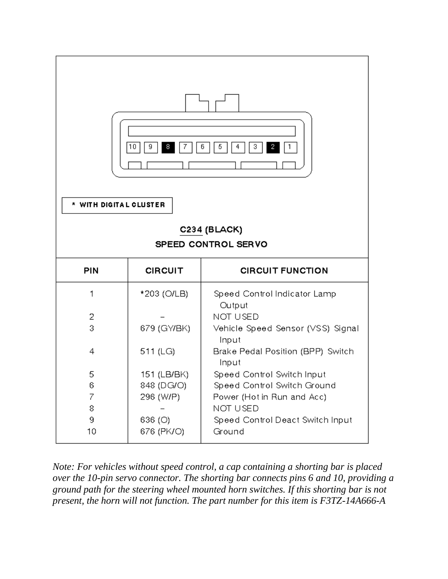| 3<br>9<br>10<br>5<br>6<br>* WITH DIGITAL CLUSTER<br>C234 (BLACK) |                                           |                                            |  |  |
|------------------------------------------------------------------|-------------------------------------------|--------------------------------------------|--|--|
| SPEED CONTROL SERVO                                              |                                           |                                            |  |  |
| <b>PIN</b>                                                       | <b>CIRCUIT</b><br><b>CIRCUIT FUNCTION</b> |                                            |  |  |
| 1                                                                | *203 (O/LB)                               | Speed Control Indicator Lamp               |  |  |
| $\overline{\mathbf{c}}$                                          |                                           | Output<br>NOT USED                         |  |  |
| 3                                                                | 679 (GY/BK)                               | Vehicle Speed Sensor (VSS) Signal<br>Input |  |  |
| 4                                                                | 511 (LG)                                  | Brake Pedal Position (BPP) Switch<br>Input |  |  |
| 5                                                                | 151 (LB/BK)                               | Speed Control Switch Input                 |  |  |
| 6                                                                | 848 (DG/O)                                | Speed Control Switch Ground                |  |  |
| 7                                                                | 296 (W/P)                                 | Power (Hot in Run and Acc)                 |  |  |
| 8                                                                |                                           | NOT USED                                   |  |  |
| 9<br>10                                                          | 636 (O)<br>676 (PK/O)                     | Speed Control Deact Switch Input<br>Ground |  |  |

*Note: For vehicles without speed control, a cap containing a shorting bar is placed over the 10-pin servo connector. The shorting bar connects pins 6 and 10, providing a ground path for the steering wheel mounted horn switches. If this shorting bar is not present, the horn will not function. The part number for this item is F3TZ-14A666-A*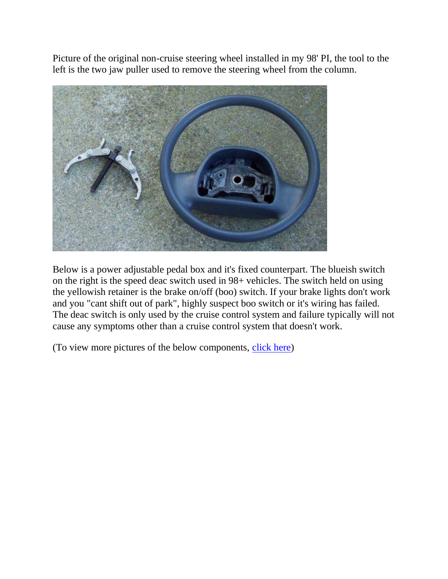Picture of the original non-cruise steering wheel installed in my 98' PI, the tool to the left is the two jaw puller used to remove the steering wheel from the column.



Below is a power adjustable pedal box and it's fixed counterpart. The blueish switch on the right is the speed deac switch used in 98+ vehicles. The switch held on using the yellowish retainer is the brake on/off (boo) switch. If your brake lights don't work and you "cant shift out of park", highly suspect boo switch or it's wiring has failed. The deac switch is only used by the cruise control system and failure typically will not cause any symptoms other than a cruise control system that doesn't work.

(To view more pictures of the below components, [click here\)](http://www.idmsvcs.com/2vmod/powerpedals/index.html)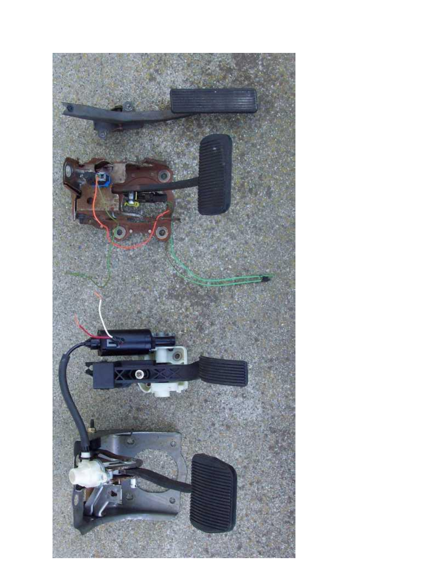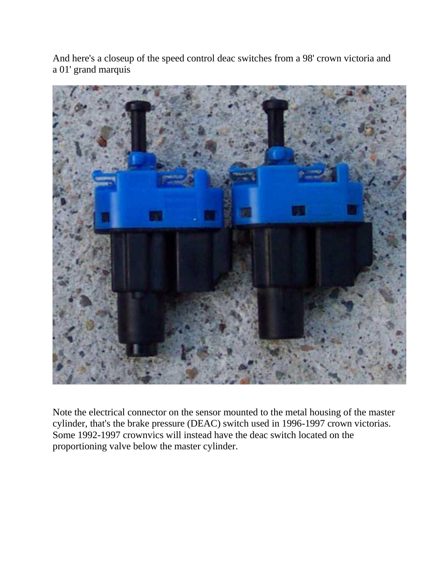And here's a closeup of the speed control deac switches from a 98' crown victoria and a 01' grand marquis



Note the electrical connector on the sensor mounted to the metal housing of the master cylinder, that's the brake pressure (DEAC) switch used in 1996-1997 crown victorias. Some 1992-1997 crownvics will instead have the deac switch located on the proportioning valve below the master cylinder.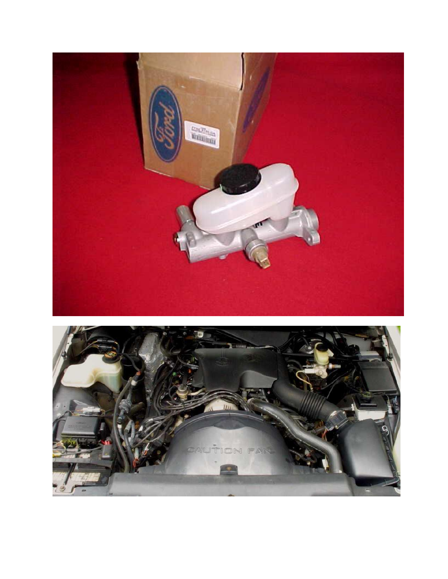

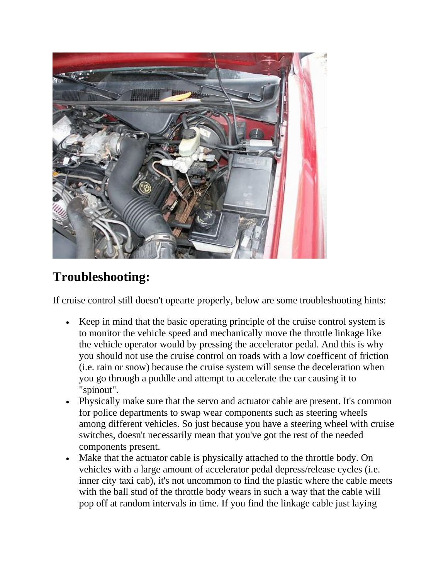

#### **Troubleshooting:**

If cruise control still doesn't opearte properly, below are some troubleshooting hints:

- Keep in mind that the basic operating principle of the cruise control system is to monitor the vehicle speed and mechanically move the throttle linkage like the vehicle operator would by pressing the accelerator pedal. And this is why you should not use the cruise control on roads with a low coefficent of friction (i.e. rain or snow) because the cruise system will sense the deceleration when you go through a puddle and attempt to accelerate the car causing it to "spinout".
- Physically make sure that the servo and actuator cable are present. It's common for police departments to swap wear components such as steering wheels among different vehicles. So just because you have a steering wheel with cruise switches, doesn't necessarily mean that you've got the rest of the needed components present.
- Make that the actuator cable is physically attached to the throttle body. On vehicles with a large amount of accelerator pedal depress/release cycles (i.e. inner city taxi cab), it's not uncommon to find the plastic where the cable meets with the ball stud of the throttle body wears in such a way that the cable will pop off at random intervals in time. If you find the linkage cable just laying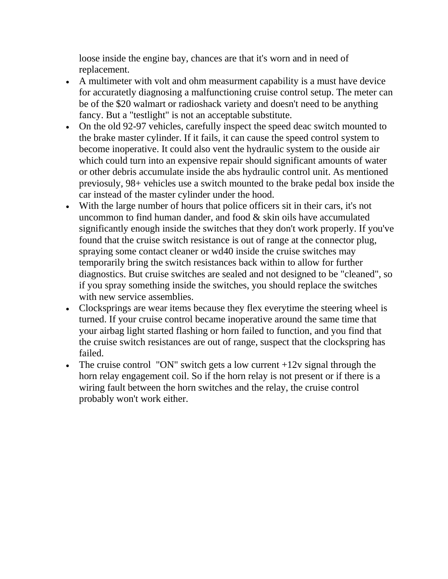loose inside the engine bay, chances are that it's worn and in need of replacement.

- A multimeter with volt and ohm measurment capability is a must have device for accuratetly diagnosing a malfunctioning cruise control setup. The meter can be of the \$20 walmart or radioshack variety and doesn't need to be anything fancy. But a "testlight" is not an acceptable substitute.
- On the old 92-97 vehicles, carefully inspect the speed deac switch mounted to the brake master cylinder. If it fails, it can cause the speed control system to become inoperative. It could also vent the hydraulic system to the ouside air which could turn into an expensive repair should significant amounts of water or other debris accumulate inside the abs hydraulic control unit. As mentioned previosuly, 98+ vehicles use a switch mounted to the brake pedal box inside the car instead of the master cylinder under the hood.
- With the large number of hours that police officers sit in their cars, it's not uncommon to find human dander, and food & skin oils have accumulated significantly enough inside the switches that they don't work properly. If you've found that the cruise switch resistance is out of range at the connector plug, spraying some contact cleaner or wd40 inside the cruise switches may temporarily bring the switch resistances back within to allow for further diagnostics. But cruise switches are sealed and not designed to be "cleaned", so if you spray something inside the switches, you should replace the switches with new service assemblies.
- Clocksprings are wear items because they flex everytime the steering wheel is turned. If your cruise control became inoperative around the same time that your airbag light started flashing or horn failed to function, and you find that the cruise switch resistances are out of range, suspect that the clockspring has failed.
- The cruise control "ON" switch gets a low current  $+12v$  signal through the horn relay engagement coil. So if the horn relay is not present or if there is a wiring fault between the horn switches and the relay, the cruise control probably won't work either.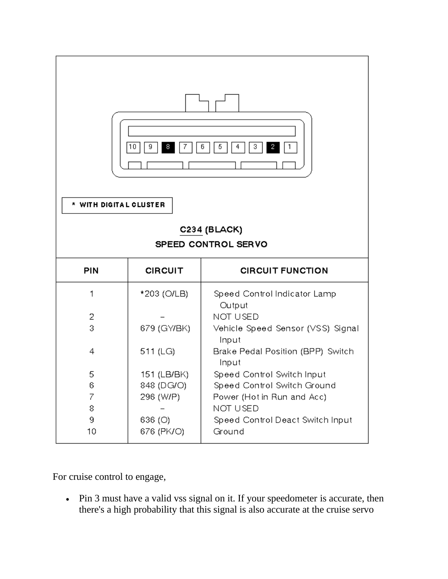| 3<br>9<br>10<br>6<br>8<br>5<br>* WITH DIGITAL CLUSTER<br>C234 (BLACK)<br>SPEED CONTROL SERVO |                                           |                                            |  |  |
|----------------------------------------------------------------------------------------------|-------------------------------------------|--------------------------------------------|--|--|
| <b>PIN</b>                                                                                   | <b>CIRCUIT</b><br><b>CIRCUIT FUNCTION</b> |                                            |  |  |
| 1                                                                                            | *203 (O/LB)                               | Speed Control Indicator Lamp               |  |  |
| $\overline{\mathbf{c}}$                                                                      |                                           | Output<br>NOT USED                         |  |  |
| 3                                                                                            | 679 (GY/BK)                               | Vehicle Speed Sensor (VSS) Signal          |  |  |
| 4                                                                                            | 511 (LG)                                  | Input<br>Brake Pedal Position (BPP) Switch |  |  |
|                                                                                              |                                           | Input                                      |  |  |
| 5                                                                                            | 151 (LB/BK)                               | Speed Control Switch Input                 |  |  |
| 6                                                                                            | 848 (DG/O)                                | Speed Control Switch Ground                |  |  |
| 7                                                                                            | 296 (W/P)                                 | Power (Hot in Run and Acc)                 |  |  |
| 8                                                                                            |                                           | NOT USED                                   |  |  |
| 9                                                                                            | 636 (O)                                   | Speed Control Deact Switch Input           |  |  |
| 10                                                                                           | 676 (PK/O)                                | Ground                                     |  |  |

For cruise control to engage,

 Pin 3 must have a valid vss signal on it. If your speedometer is accurate, then there's a high probability that this signal is also accurate at the cruise servo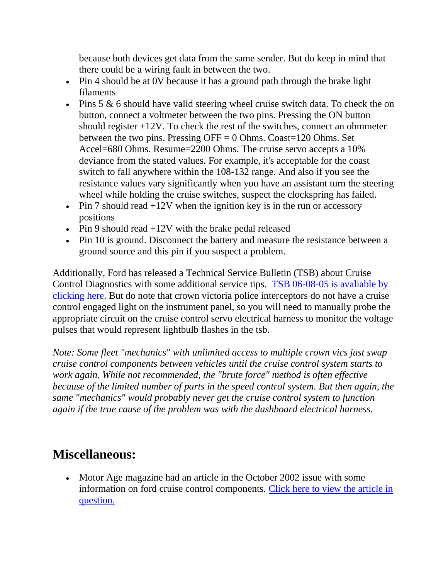because both devices get data from the same sender. But do keep in mind that there could be a wiring fault in between the two.

- Pin 4 should be at 0V because it has a ground path through the brake light filaments
- Pins  $5 \& 6$  should have valid steering wheel cruise switch data. To check the on button, connect a voltmeter between the two pins. Pressing the ON button should register  $+12V$ . To check the rest of the switches, connect an ohmmeter between the two pins. Pressing  $\text{OFF} = 0$  Ohms. Coast=120 Ohms. Set Accel=680 Ohms. Resume=2200 Ohms. The cruise servo accepts a 10% deviance from the stated values. For example, it's acceptable for the coast switch to fall anywhere within the 108-132 range. And also if you see the resistance values vary significantly when you have an assistant turn the steering wheel while holding the cruise switches, suspect the clockspring has failed.
- $\bullet$  Pin 7 should read +12V when the ignition key is in the run or accessory positions
- Pin 9 should read  $+12V$  with the brake pedal released
- Pin 10 is ground. Disconnect the battery and measure the resistance between a ground source and this pin if you suspect a problem.

Additionally, Ford has released a Technical Service Bulletin (TSB) about Cruise Control Diagnostics with some additional service tips. [TSB 06-08-05 is avaliable by](http://www.idmsvcs.com/2vmod/cruise/tsb060805.pdf)  [clicking here.](http://www.idmsvcs.com/2vmod/cruise/tsb060805.pdf) But do note that crown victoria police interceptors do not have a cruise control engaged light on the instrument panel, so you will need to manually probe the appropriate circuit on the cruise control servo electrical harness to monitor the voltage pulses that would represent lightbulb flashes in the tsb.

*Note: Some fleet "mechanics" with unlimited access to multiple crown vics just swap cruise control components between vehicles until the cruise control system starts to work again. While not recommended, the "brute force" method is often effective because of the limited number of parts in the speed control system. But then again, the same "mechanics" would probably never get the cruise control system to function again if the true cause of the problem was with the dashboard electrical harness.*

#### **Miscellaneous:**

 Motor Age magazine had an article in the October 2002 issue with some information on ford cruise control components. [Click here to view the article in](http://www.idmsvcs.com/2vmod/cruise/motoragecruise/index.html)  [question.](http://www.idmsvcs.com/2vmod/cruise/motoragecruise/index.html)